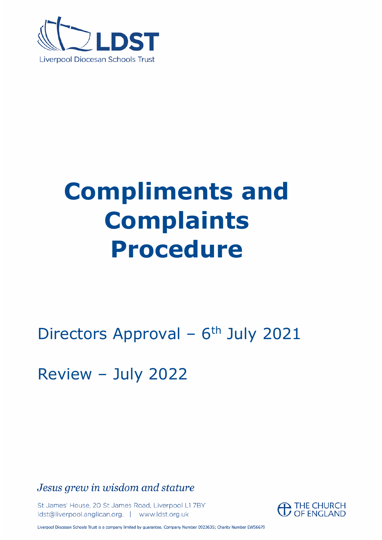

# **Compliments and Complaints Procedure**

# Directors Approval - 6<sup>th</sup> July 2021

Review – July 2022

Jesus grew in wisdom and stature

St James' House, 20 St James Road, Liverpool L1 7BY Idst@liverpool.anglican.org. | www.ldst.org.uk



Liverpool Diocesan Schools Trust is a company limited by guarantee. Company Number 0923635; Charity Number EW56679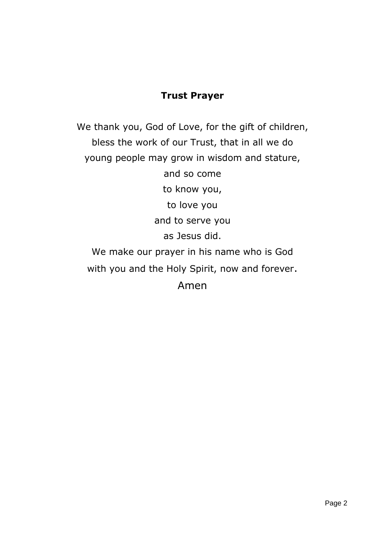### **Trust Prayer**

We thank you, God of Love, for the gift of children, bless the work of our Trust, that in all we do young people may grow in wisdom and stature, and so come to know you, to love you and to serve you as Jesus did. We make our prayer in his name who is God with you and the Holy Spirit, now and forever. Amen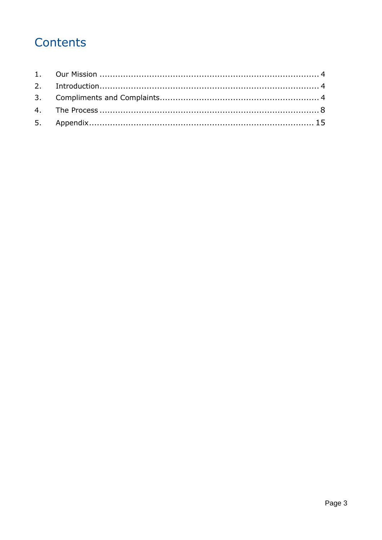### Contents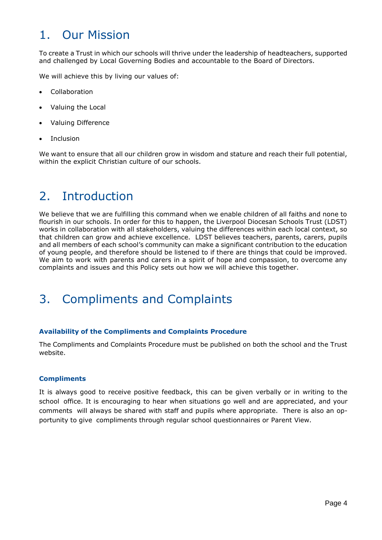### 1. Our Mission

To create a Trust in which our schools will thrive under the leadership of headteachers, supported and challenged by Local Governing Bodies and accountable to the Board of Directors.

We will achieve this by living our values of:

- **Collaboration**
- Valuing the Local
- Valuing Difference
- **Inclusion**

We want to ensure that all our children grow in wisdom and stature and reach their full potential, within the explicit Christian culture of our schools.

### 2. Introduction

We believe that we are fulfilling this command when we enable children of all faiths and none to flourish in our schools. In order for this to happen, the Liverpool Diocesan Schools Trust (LDST) works in collaboration with all stakeholders, valuing the differences within each local context, so that children can grow and achieve excellence. LDST believes teachers, parents, carers, pupils and all members of each school's community can make a significant contribution to the education of young people, and therefore should be listened to if there are things that could be improved. We aim to work with parents and carers in a spirit of hope and compassion, to overcome any complaints and issues and this Policy sets out how we will achieve this together.

### 3. Compliments and Complaints

#### **Availability of the Compliments and Complaints Procedure**

The Compliments and Complaints Procedure must be published on both the school and the Trust website.

#### **Compliments**

It is always good to receive positive feedback, this can be given verbally or in writing to the school office. It is encouraging to hear when situations go well and are appreciated, and your comments will always be shared with staff and pupils where appropriate. There is also an opportunity to give compliments through regular school questionnaires or Parent View.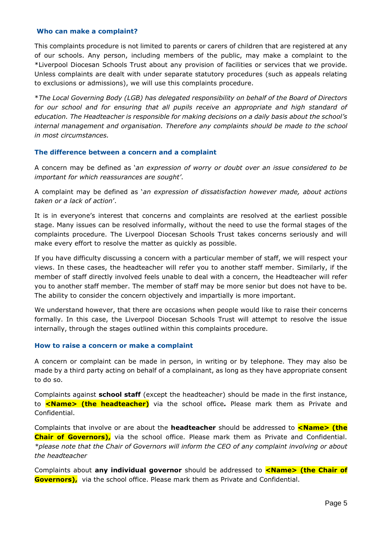#### **Who can make a complaint?**

This complaints procedure is not limited to parents or carers of children that are registered at any of our schools. Any person, including members of the public, may make a complaint to the \*Liverpool Diocesan Schools Trust about any provision of facilities or services that we provide. Unless complaints are dealt with under separate statutory procedures (such as appeals relating to exclusions or admissions), we will use this complaints procedure.

\**The Local Governing Body (LGB) has delegated responsibility on behalf of the Board of Directors*  for our school and for ensuring that all pupils receive an appropriate and high standard of *education. The Headteacher is responsible for making decisions on a daily basis about the school's internal management and organisation. Therefore any complaints should be made to the school in most circumstances.*

#### **The difference between a concern and a complaint**

A concern may be defined as '*an expression of worry or doubt over an issue considered to be important for which reassurances are sought'*.

A complaint may be defined as '*an expression of dissatisfaction however made, about actions taken or a lack of action*'.

It is in everyone's interest that concerns and complaints are resolved at the earliest possible stage. Many issues can be resolved informally, without the need to use the formal stages of the complaints procedure. The Liverpool Diocesan Schools Trust takes concerns seriously and will make every effort to resolve the matter as quickly as possible.

If you have difficulty discussing a concern with a particular member of staff, we will respect your views. In these cases, the headteacher will refer you to another staff member. Similarly, if the member of staff directly involved feels unable to deal with a concern, the Headteacher will refer you to another staff member. The member of staff may be more senior but does not have to be. The ability to consider the concern objectively and impartially is more important.

We understand however, that there are occasions when people would like to raise their concerns formally. In this case, the Liverpool Diocesan Schools Trust will attempt to resolve the issue internally, through the stages outlined within this complaints procedure.

#### **How to raise a concern or make a complaint**

A concern or complaint can be made in person, in writing or by telephone. They may also be made by a third party acting on behalf of a complainant, as long as they have appropriate consent to do so.

Complaints against **school staff** (except the headteacher) should be made in the first instance, to **<Name> (the headteacher)** via the school office*.* Please mark them as Private and Confidential.

Complaints that involve or are about the **headteacher** should be addressed to **<Name> (the Chair of Governors),** via the school office. Please mark them as Private and Confidential. *\*please note that the Chair of Governors will inform the CEO of any complaint involving or about the headteacher*

Complaints about **any individual governor** should be addressed to **<Name>** (the Chair of **Governors),** via the school office. Please mark them as Private and Confidential.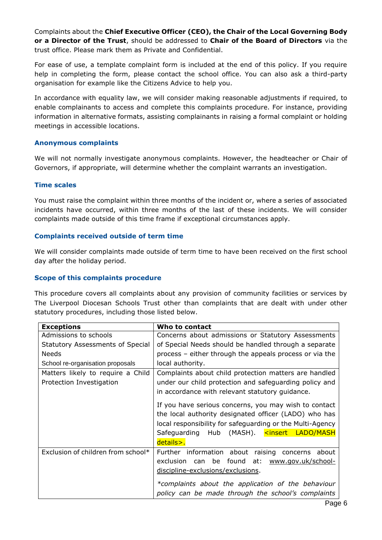Complaints about the **Chief Executive Officer (CEO), the Chair of the Local Governing Body or a Director of the Trust**, should be addressed to **Chair of the Board of Directors** via the trust office. Please mark them as Private and Confidential.

For ease of use, a template complaint form is included at the end of this policy. If you require help in completing the form, please contact the school office. You can also ask a third-party organisation for example like the Citizens Advice to help you.

In accordance with equality law, we will consider making reasonable adjustments if required, to enable complainants to access and complete this complaints procedure. For instance, providing information in alternative formats, assisting complainants in raising a formal complaint or holding meetings in accessible locations.

#### **Anonymous complaints**

We will not normally investigate anonymous complaints. However, the headteacher or Chair of Governors, if appropriate, will determine whether the complaint warrants an investigation.

#### **Time scales**

You must raise the complaint within three months of the incident or, where a series of associated incidents have occurred, within three months of the last of these incidents. We will consider complaints made outside of this time frame if exceptional circumstances apply.

#### **Complaints received outside of term time**

We will consider complaints made outside of term time to have been received on the first school day after the holiday period.

#### **Scope of this complaints procedure**

This procedure covers all complaints about any provision of community facilities or services by The Liverpool Diocesan Schools Trust other than complaints that are dealt with under other statutory procedures, including those listed below.

| <b>Exceptions</b>                  | Who to contact                                                                                           |
|------------------------------------|----------------------------------------------------------------------------------------------------------|
| Admissions to schools              | Concerns about admissions or Statutory Assessments                                                       |
| Statutory Assessments of Special   | of Special Needs should be handled through a separate                                                    |
| <b>Needs</b>                       | process – either through the appeals process or via the                                                  |
| School re-organisation proposals   | local authority.                                                                                         |
| Matters likely to require a Child  | Complaints about child protection matters are handled                                                    |
| Protection Investigation           | under our child protection and safeguarding policy and                                                   |
|                                    | in accordance with relevant statutory guidance.                                                          |
|                                    | If you have serious concerns, you may wish to contact                                                    |
|                                    | the local authority designated officer (LADO) who has                                                    |
|                                    | local responsibility for safeguarding or the Multi-Agency                                                |
|                                    | Safeguarding Hub (MASH). <insert<br>LADO/MASH</insert<br>                                                |
|                                    | details>.                                                                                                |
| Exclusion of children from school* | Further information about raising concerns about                                                         |
|                                    | can be found at:<br>exclusion<br>www.gov.uk/school-                                                      |
|                                    | discipline-exclusions/exclusions.                                                                        |
|                                    | *complaints about the application of the behaviour<br>policy can be made through the school's complaints |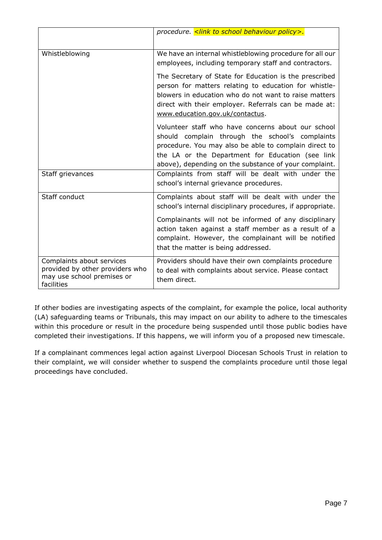|                                                                                                          | procedure. < link to school behaviour policy>.                                                                                                                                                                                                                              |
|----------------------------------------------------------------------------------------------------------|-----------------------------------------------------------------------------------------------------------------------------------------------------------------------------------------------------------------------------------------------------------------------------|
| Whistleblowing                                                                                           | We have an internal whistleblowing procedure for all our<br>employees, including temporary staff and contractors.                                                                                                                                                           |
|                                                                                                          | The Secretary of State for Education is the prescribed<br>person for matters relating to education for whistle-<br>blowers in education who do not want to raise matters<br>direct with their employer. Referrals can be made at:<br>www.education.gov.uk/contactus.        |
|                                                                                                          | Volunteer staff who have concerns about our school<br>should complain through the school's complaints<br>procedure. You may also be able to complain direct to<br>the LA or the Department for Education (see link<br>above), depending on the substance of your complaint. |
| Staff grievances                                                                                         | Complaints from staff will be dealt with under the<br>school's internal grievance procedures.                                                                                                                                                                               |
| Staff conduct                                                                                            | Complaints about staff will be dealt with under the<br>school's internal disciplinary procedures, if appropriate.                                                                                                                                                           |
|                                                                                                          | Complainants will not be informed of any disciplinary<br>action taken against a staff member as a result of a<br>complaint. However, the complainant will be notified<br>that the matter is being addressed.                                                                |
| Complaints about services<br>provided by other providers who<br>may use school premises or<br>facilities | Providers should have their own complaints procedure<br>to deal with complaints about service. Please contact<br>them direct.                                                                                                                                               |

If other bodies are investigating aspects of the complaint, for example the police, local authority (LA) safeguarding teams or Tribunals, this may impact on our ability to adhere to the timescales within this procedure or result in the procedure being suspended until those public bodies have completed their investigations. If this happens, we will inform you of a proposed new timescale.

If a complainant commences legal action against Liverpool Diocesan Schools Trust in relation to their complaint, we will consider whether to suspend the complaints procedure until those legal proceedings have concluded.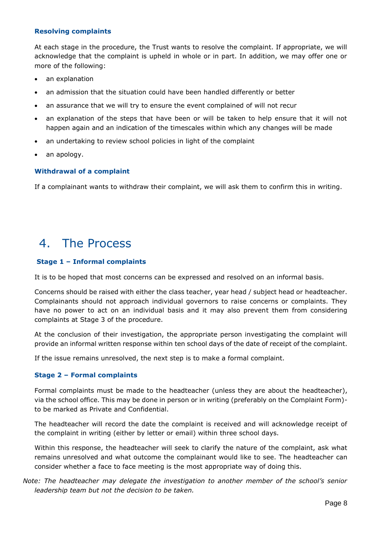#### **Resolving complaints**

At each stage in the procedure, the Trust wants to resolve the complaint. If appropriate, we will acknowledge that the complaint is upheld in whole or in part. In addition, we may offer one or more of the following:

- an explanation
- an admission that the situation could have been handled differently or better
- an assurance that we will try to ensure the event complained of will not recur
- an explanation of the steps that have been or will be taken to help ensure that it will not happen again and an indication of the timescales within which any changes will be made
- an undertaking to review school policies in light of the complaint
- an apology.

#### **Withdrawal of a complaint**

If a complainant wants to withdraw their complaint, we will ask them to confirm this in writing.

### 4. The Process

#### **Stage 1 – Informal complaints**

It is to be hoped that most concerns can be expressed and resolved on an informal basis.

Concerns should be raised with either the class teacher, year head / subject head or headteacher. Complainants should not approach individual governors to raise concerns or complaints. They have no power to act on an individual basis and it may also prevent them from considering complaints at Stage 3 of the procedure.

At the conclusion of their investigation, the appropriate person investigating the complaint will provide an informal written response within ten school days of the date of receipt of the complaint.

If the issue remains unresolved, the next step is to make a formal complaint.

#### **Stage 2 – Formal complaints**

Formal complaints must be made to the headteacher (unless they are about the headteacher), via the school office. This may be done in person or in writing (preferably on the Complaint Form) to be marked as Private and Confidential.

The headteacher will record the date the complaint is received and will acknowledge receipt of the complaint in writing (either by letter or email) within three school days.

Within this response, the headteacher will seek to clarify the nature of the complaint, ask what remains unresolved and what outcome the complainant would like to see. The headteacher can consider whether a face to face meeting is the most appropriate way of doing this.

*Note: The headteacher may delegate the investigation to another member of the school's senior leadership team but not the decision to be taken.*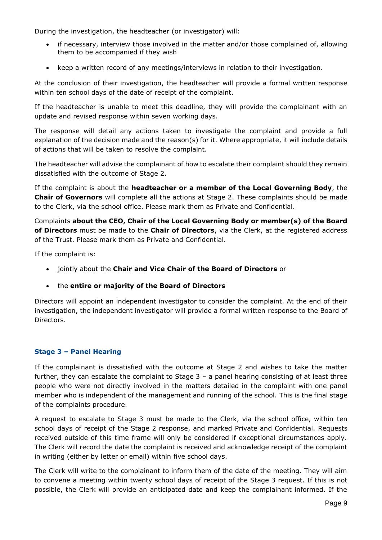During the investigation, the headteacher (or investigator) will:

- if necessary, interview those involved in the matter and/or those complained of, allowing them to be accompanied if they wish
- keep a written record of any meetings/interviews in relation to their investigation.

At the conclusion of their investigation, the headteacher will provide a formal written response within ten school days of the date of receipt of the complaint.

If the headteacher is unable to meet this deadline, they will provide the complainant with an update and revised response within seven working days.

The response will detail any actions taken to investigate the complaint and provide a full explanation of the decision made and the reason(s) for it. Where appropriate, it will include details of actions that will be taken to resolve the complaint.

The headteacher will advise the complainant of how to escalate their complaint should they remain dissatisfied with the outcome of Stage 2.

If the complaint is about the **headteacher or a member of the Local Governing Body**, the **Chair of Governors** will complete all the actions at Stage 2. These complaints should be made to the Clerk, via the school office. Please mark them as Private and Confidential.

Complaints **about the CEO, Chair of the Local Governing Body or member(s) of the Board of Directors** must be made to the **Chair of Directors**, via the Clerk, at the registered address of the Trust. Please mark them as Private and Confidential.

If the complaint is:

- jointly about the **Chair and Vice Chair of the Board of Directors** or
- the **entire or majority of the Board of Directors**

Directors will appoint an independent investigator to consider the complaint. At the end of their investigation, the independent investigator will provide a formal written response to the Board of Directors.

#### **Stage 3 – Panel Hearing**

If the complainant is dissatisfied with the outcome at Stage 2 and wishes to take the matter further, they can escalate the complaint to Stage 3 – a panel hearing consisting of at least three people who were not directly involved in the matters detailed in the complaint with one panel member who is independent of the management and running of the school. This is the final stage of the complaints procedure.

A request to escalate to Stage 3 must be made to the Clerk, via the school office, within ten school days of receipt of the Stage 2 response, and marked Private and Confidential. Requests received outside of this time frame will only be considered if exceptional circumstances apply. The Clerk will record the date the complaint is received and acknowledge receipt of the complaint in writing (either by letter or email) within five school days.

The Clerk will write to the complainant to inform them of the date of the meeting. They will aim to convene a meeting within twenty school days of receipt of the Stage 3 request. If this is not possible, the Clerk will provide an anticipated date and keep the complainant informed. If the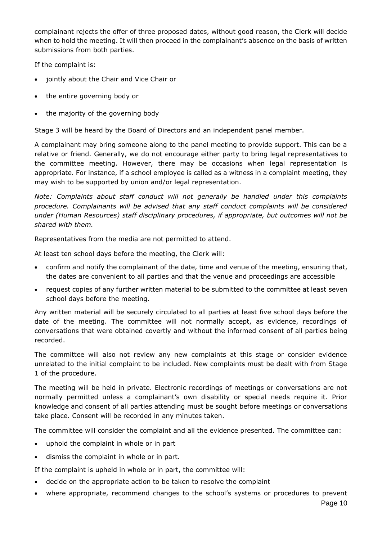complainant rejects the offer of three proposed dates, without good reason, the Clerk will decide when to hold the meeting. It will then proceed in the complainant's absence on the basis of written submissions from both parties.

If the complaint is:

- jointly about the Chair and Vice Chair or
- the entire governing body or
- the majority of the governing body

Stage 3 will be heard by the Board of Directors and an independent panel member.

A complainant may bring someone along to the panel meeting to provide support. This can be a relative or friend. Generally, we do not encourage either party to bring legal representatives to the committee meeting. However, there may be occasions when legal representation is appropriate. For instance, if a school employee is called as a witness in a complaint meeting, they may wish to be supported by union and/or legal representation.

*Note: Complaints about staff conduct will not generally be handled under this complaints procedure. Complainants will be advised that any staff conduct complaints will be considered under (Human Resources) staff disciplinary procedures, if appropriate, but outcomes will not be shared with them.* 

Representatives from the media are not permitted to attend.

At least ten school days before the meeting, the Clerk will:

- confirm and notify the complainant of the date, time and venue of the meeting, ensuring that, the dates are convenient to all parties and that the venue and proceedings are accessible
- request copies of any further written material to be submitted to the committee at least seven school days before the meeting.

Any written material will be securely circulated to all parties at least five school days before the date of the meeting. The committee will not normally accept, as evidence, recordings of conversations that were obtained covertly and without the informed consent of all parties being recorded.

The committee will also not review any new complaints at this stage or consider evidence unrelated to the initial complaint to be included. New complaints must be dealt with from Stage 1 of the procedure.

The meeting will be held in private. Electronic recordings of meetings or conversations are not normally permitted unless a complainant's own disability or special needs require it. Prior knowledge and consent of all parties attending must be sought before meetings or conversations take place. Consent will be recorded in any minutes taken.

The committee will consider the complaint and all the evidence presented. The committee can:

- uphold the complaint in whole or in part
- dismiss the complaint in whole or in part.

If the complaint is upheld in whole or in part, the committee will:

- decide on the appropriate action to be taken to resolve the complaint
- where appropriate, recommend changes to the school's systems or procedures to prevent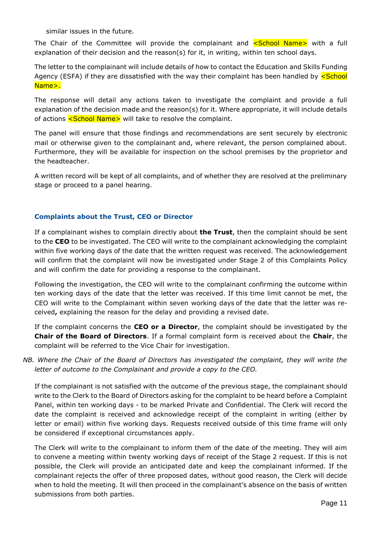similar issues in the future.

The Chair of the Committee will provide the complainant and **<School Name>** with a full explanation of their decision and the reason(s) for it, in writing, within ten school days.

The letter to the complainant will include details of how to contact the Education and Skills Funding Agency (ESFA) if they are dissatisfied with the way their complaint has been handled by **<School** Name>.

The response will detail any actions taken to investigate the complaint and provide a full explanation of the decision made and the reason(s) for it. Where appropriate, it will include details of actions <School Name> will take to resolve the complaint.

The panel will ensure that those findings and recommendations are sent securely by electronic mail or otherwise given to the complainant and, where relevant, the person complained about. Furthermore, they will be available for inspection on the school premises by the proprietor and the headteacher.

A written record will be kept of all complaints, and of whether they are resolved at the preliminary stage or proceed to a panel hearing.

#### **Complaints about the Trust, CEO or Director**

If a complainant wishes to complain directly about **the Trust**, then the complaint should be sent to the **CEO** to be investigated. The CEO will write to the complainant acknowledging the complaint within five working days of the date that the written request was received. The acknowledgement will confirm that the complaint will now be investigated under Stage 2 of this Complaints Policy and will confirm the date for providing a response to the complainant.

Following the investigation, the CEO will write to the complainant confirming the outcome within ten working days of the date that the letter was received. If this time limit cannot be met, the CEO will write to the Complainant within seven working days of the date that the letter was received**,** explaining the reason for the delay and providing a revised date.

If the complaint concerns the **CEO or a Director**, the complaint should be investigated by the **Chair of the Board of Directors**. If a formal complaint form is received about the **Chair**, the complaint will be referred to the Vice Chair for investigation.

#### *NB. Where the Chair of the Board of Directors has investigated the complaint, they will write the letter of outcome to the Complainant and provide a copy to the CEO.*

If the complainant is not satisfied with the outcome of the previous stage, the complainant should write to the Clerk to the Board of Directors asking for the complaint to be heard before a Complaint Panel, within ten working days - to be marked Private and Confidential. The Clerk will record the date the complaint is received and acknowledge receipt of the complaint in writing (either by letter or email) within five working days. Requests received outside of this time frame will only be considered if exceptional circumstances apply.

The Clerk will write to the complainant to inform them of the date of the meeting. They will aim to convene a meeting within twenty working days of receipt of the Stage 2 request. If this is not possible, the Clerk will provide an anticipated date and keep the complainant informed. If the complainant rejects the offer of three proposed dates, without good reason, the Clerk will decide when to hold the meeting. It will then proceed in the complainant's absence on the basis of written submissions from both parties.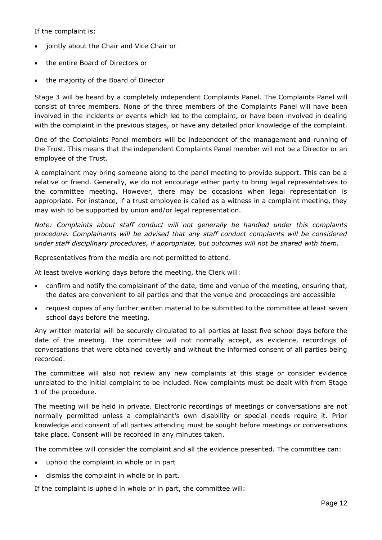If the complaint is:

- jointly about the Chair and Vice Chair or
- the entire Board of Directors or
- the majority of the Board of Director

Stage 3 will be heard by a completely independent Complaints Panel. The Complaints Panel will consist of three members. None of the three members of the Complaints Panel will have been involved in the incidents or events which led to the complaint, or have been involved in dealing with the complaint in the previous stages, or have any detailed prior knowledge of the complaint.

One of the Complaints Panel members will be independent of the management and running of the Trust. This means that the independent Complaints Panel member will not be a Director or an employee of the Trust.

A complainant may bring someone along to the panel meeting to provide support. This can be a relative or friend. Generally, we do not encourage either party to bring legal representatives to the committee meeting. However, there may be occasions when legal representation is appropriate. For instance, if a trust employee is called as a witness in a complaint meeting, they may wish to be supported by union and/or legal representation.

*Note: Complaints about staff conduct will not generally be handled under this complaints procedure. Complainants will be advised that any staff conduct complaints will be considered under staff disciplinary procedures, if appropriate, but outcomes will not be shared with them.* 

Representatives from the media are not permitted to attend.

At least twelve working days before the meeting, the Clerk will:

- confirm and notify the complainant of the date, time and venue of the meeting, ensuring that, the dates are convenient to all parties and that the venue and proceedings are accessible
- request copies of any further written material to be submitted to the committee at least seven school days before the meeting.

Any written material will be securely circulated to all parties at least five school days before the date of the meeting. The committee will not normally accept, as evidence, recordings of conversations that were obtained covertly and without the informed consent of all parties being recorded.

The committee will also not review any new complaints at this stage or consider evidence unrelated to the initial complaint to be included. New complaints must be dealt with from Stage 1 of the procedure.

The meeting will be held in private. Electronic recordings of meetings or conversations are not normally permitted unless a complainant's own disability or special needs require it. Prior knowledge and consent of all parties attending must be sought before meetings or conversations take place. Consent will be recorded in any minutes taken.

The committee will consider the complaint and all the evidence presented. The committee can:

- uphold the complaint in whole or in part
- dismiss the complaint in whole or in part.

If the complaint is upheld in whole or in part, the committee will: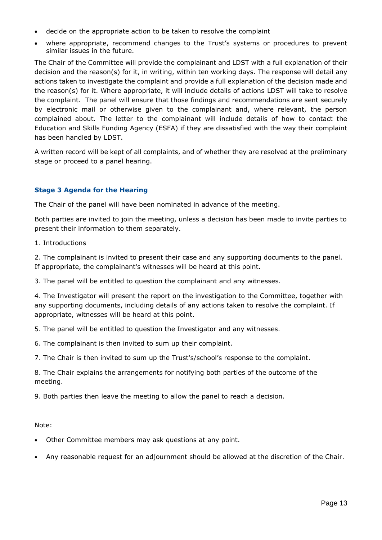- decide on the appropriate action to be taken to resolve the complaint
- where appropriate, recommend changes to the Trust's systems or procedures to prevent similar issues in the future.

The Chair of the Committee will provide the complainant and LDST with a full explanation of their decision and the reason(s) for it, in writing, within ten working days. The response will detail any actions taken to investigate the complaint and provide a full explanation of the decision made and the reason(s) for it. Where appropriate, it will include details of actions LDST will take to resolve the complaint. The panel will ensure that those findings and recommendations are sent securely by electronic mail or otherwise given to the complainant and, where relevant, the person complained about. The letter to the complainant will include details of how to contact the Education and Skills Funding Agency (ESFA) if they are dissatisfied with the way their complaint has been handled by LDST.

A written record will be kept of all complaints, and of whether they are resolved at the preliminary stage or proceed to a panel hearing.

#### **Stage 3 Agenda for the Hearing**

The Chair of the panel will have been nominated in advance of the meeting.

Both parties are invited to join the meeting, unless a decision has been made to invite parties to present their information to them separately.

1. Introductions

2. The complainant is invited to present their case and any supporting documents to the panel. If appropriate, the complainant's witnesses will be heard at this point.

3. The panel will be entitled to question the complainant and any witnesses.

4. The Investigator will present the report on the investigation to the Committee, together with any supporting documents, including details of any actions taken to resolve the complaint. If appropriate, witnesses will be heard at this point.

5. The panel will be entitled to question the Investigator and any witnesses.

6. The complainant is then invited to sum up their complaint.

7. The Chair is then invited to sum up the Trust's/school's response to the complaint.

8. The Chair explains the arrangements for notifying both parties of the outcome of the meeting.

9. Both parties then leave the meeting to allow the panel to reach a decision.

Note:

- Other Committee members may ask questions at any point.
- Any reasonable request for an adjournment should be allowed at the discretion of the Chair.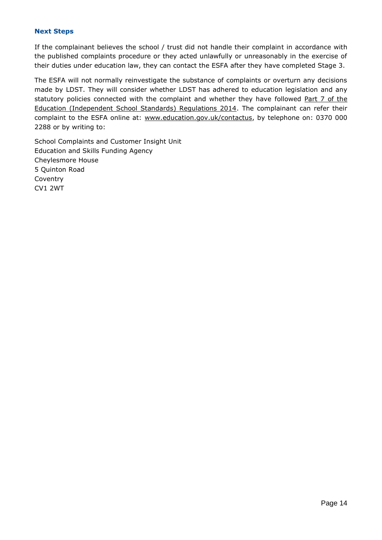#### **Next Steps**

If the complainant believes the school / trust did not handle their complaint in accordance with the published complaints procedure or they acted unlawfully or unreasonably in the exercise of their duties under education law, they can contact the ESFA after they have completed Stage 3.

The ESFA will not normally reinvestigate the substance of complaints or overturn any decisions made by LDST. They will consider whether LDST has adhered to education legislation and any statutory policies connected with the complaint and whether they have followed Part 7 of the [Education \(Independent School Standards\) Regulations 2014.](http://www.legislation.gov.uk/uksi/2010/1997/schedule/1/made) The complainant can refer their complaint to the ESFA online at: [www.education.gov.uk/contactus,](http://www.education.gov.uk/contactus) by telephone on: 0370 000 2288 or by writing to:

School Complaints and Customer Insight Unit Education and Skills Funding Agency Cheylesmore House 5 Quinton Road Coventry CV1 2WT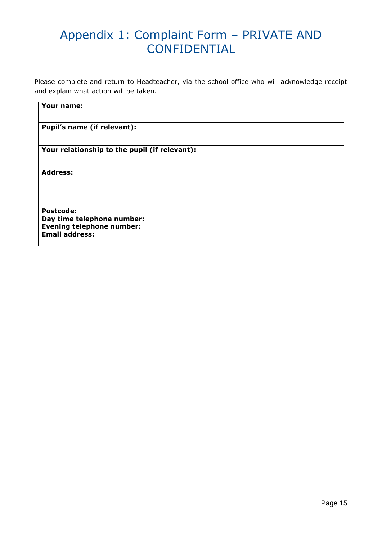### Appendix 1: Complaint Form – PRIVATE AND **CONFIDENTIAL**

Please complete and return to Headteacher, via the school office who will acknowledge receipt and explain what action will be taken.

**Your name:**

| Pupil's name (if relevant):                                                                                 |
|-------------------------------------------------------------------------------------------------------------|
| Your relationship to the pupil (if relevant):                                                               |
| <b>Address:</b>                                                                                             |
| <b>Postcode:</b><br>Day time telephone number:<br><b>Evening telephone number:</b><br><b>Email address:</b> |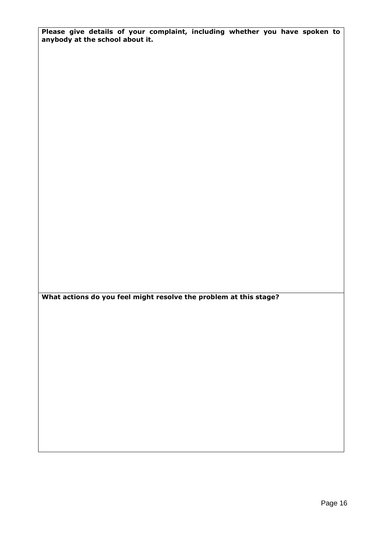**Please give details of your complaint, including whether you have spoken to anybody at the school about it.**

**What actions do you feel might resolve the problem at this stage?**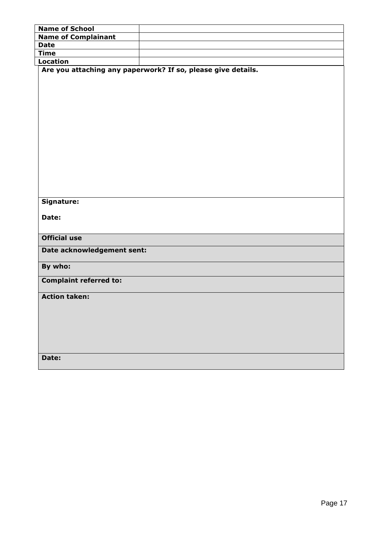| <b>Name of School</b>         |                                                              |
|-------------------------------|--------------------------------------------------------------|
| <b>Name of Complainant</b>    |                                                              |
| <b>Date</b>                   |                                                              |
| <b>Time</b>                   |                                                              |
| <b>Location</b>               |                                                              |
|                               | Are you attaching any paperwork? If so, please give details. |
|                               |                                                              |
|                               |                                                              |
|                               |                                                              |
|                               |                                                              |
|                               |                                                              |
|                               |                                                              |
|                               |                                                              |
|                               |                                                              |
|                               |                                                              |
|                               |                                                              |
|                               |                                                              |
|                               |                                                              |
|                               |                                                              |
|                               |                                                              |
|                               |                                                              |
| Signature:                    |                                                              |
|                               |                                                              |
| Date:                         |                                                              |
|                               |                                                              |
| <b>Official use</b>           |                                                              |
|                               |                                                              |
| Date acknowledgement sent:    |                                                              |
|                               |                                                              |
| By who:                       |                                                              |
| <b>Complaint referred to:</b> |                                                              |
|                               |                                                              |
| <b>Action taken:</b>          |                                                              |
|                               |                                                              |
|                               |                                                              |
|                               |                                                              |
|                               |                                                              |
|                               |                                                              |
|                               |                                                              |
|                               |                                                              |
| Date:                         |                                                              |
|                               |                                                              |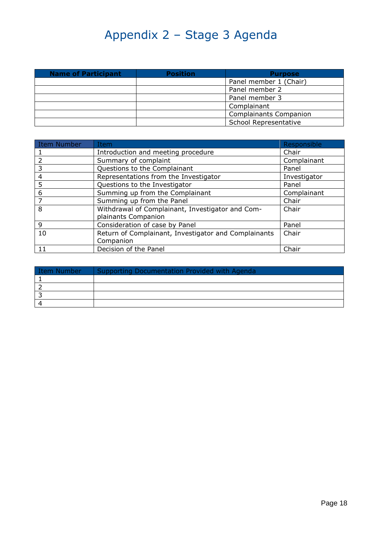## Appendix 2 – Stage 3 Agenda

| <b>Name of Participant</b> | <b>Position</b> | <b>Purpose</b>                |  |
|----------------------------|-----------------|-------------------------------|--|
|                            |                 | Panel member 1 (Chair)        |  |
|                            |                 | Panel member 2                |  |
|                            |                 | Panel member 3                |  |
|                            |                 | Complainant                   |  |
|                            |                 | <b>Complainants Companion</b> |  |
|                            |                 | School Representative         |  |

| Item Number | Item                                                 | Responsible  |
|-------------|------------------------------------------------------|--------------|
|             | Introduction and meeting procedure                   | Chair        |
|             | Summary of complaint                                 | Complainant  |
| 3           | Questions to the Complainant                         | Panel        |
| 4           | Representations from the Investigator                | Investigator |
| 5           | Questions to the Investigator                        | Panel        |
| 6           | Summing up from the Complainant                      | Complainant  |
|             | Summing up from the Panel                            | Chair        |
| 8           | Withdrawal of Complainant, Investigator and Com-     | Chair        |
|             | plainants Companion                                  |              |
| q           | Consideration of case by Panel                       | Panel        |
| 10          | Return of Complainant, Investigator and Complainants | Chair        |
|             | Companion                                            |              |
| 11          | Decision of the Panel                                | Chair        |

| Item Number | Supporting Documentation Provided with Agenda |
|-------------|-----------------------------------------------|
|             |                                               |
|             |                                               |
|             |                                               |
|             |                                               |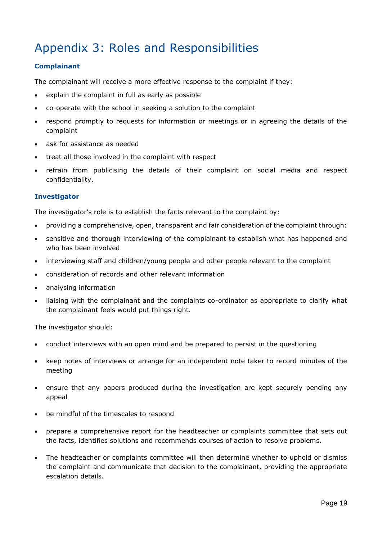### Appendix 3: Roles and Responsibilities

#### **Complainant**

The complainant will receive a more effective response to the complaint if they:

- explain the complaint in full as early as possible
- co-operate with the school in seeking a solution to the complaint
- respond promptly to requests for information or meetings or in agreeing the details of the complaint
- ask for assistance as needed
- treat all those involved in the complaint with respect
- refrain from publicising the details of their complaint on social media and respect confidentiality.

#### **Investigator**

The investigator's role is to establish the facts relevant to the complaint by:

- providing a comprehensive, open, transparent and fair consideration of the complaint through:
- sensitive and thorough interviewing of the complainant to establish what has happened and who has been involved
- interviewing staff and children/young people and other people relevant to the complaint
- consideration of records and other relevant information
- analysing information
- liaising with the complainant and the complaints co-ordinator as appropriate to clarify what the complainant feels would put things right.

The investigator should:

- conduct interviews with an open mind and be prepared to persist in the questioning
- keep notes of interviews or arrange for an independent note taker to record minutes of the meeting
- ensure that any papers produced during the investigation are kept securely pending any appeal
- be mindful of the timescales to respond
- prepare a comprehensive report for the headteacher or complaints committee that sets out the facts, identifies solutions and recommends courses of action to resolve problems.
- The headteacher or complaints committee will then determine whether to uphold or dismiss the complaint and communicate that decision to the complainant, providing the appropriate escalation details.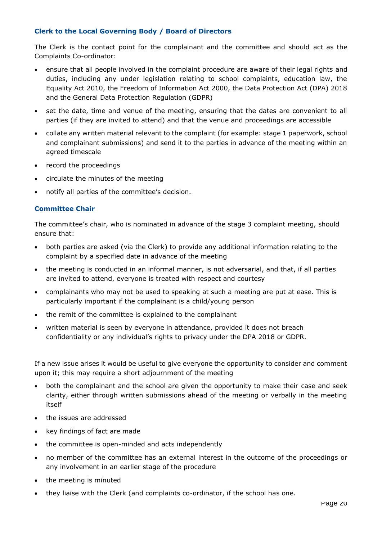#### **Clerk to the Local Governing Body / Board of Directors**

The Clerk is the contact point for the complainant and the committee and should act as the Complaints Co-ordinator:

- ensure that all people involved in the complaint procedure are aware of their legal rights and duties, including any under legislation relating to school complaints, education law, the Equality Act 2010, the Freedom of Information Act 2000, the Data Protection Act (DPA) 2018 and the General Data Protection Regulation (GDPR)
- set the date, time and venue of the meeting, ensuring that the dates are convenient to all parties (if they are invited to attend) and that the venue and proceedings are accessible
- collate any written material relevant to the complaint (for example: stage 1 paperwork, school and complainant submissions) and send it to the parties in advance of the meeting within an agreed timescale
- record the proceedings
- circulate the minutes of the meeting
- notify all parties of the committee's decision.

#### **Committee Chair**

The committee's chair, who is nominated in advance of the stage 3 complaint meeting, should ensure that:

- both parties are asked (via the Clerk) to provide any additional information relating to the complaint by a specified date in advance of the meeting
- the meeting is conducted in an informal manner, is not adversarial, and that, if all parties are invited to attend, everyone is treated with respect and courtesy
- complainants who may not be used to speaking at such a meeting are put at ease. This is particularly important if the complainant is a child/young person
- the remit of the committee is explained to the complainant
- written material is seen by everyone in attendance, provided it does not breach confidentiality or any individual's rights to privacy under the DPA 2018 or GDPR.

If a new issue arises it would be useful to give everyone the opportunity to consider and comment upon it; this may require a short adjournment of the meeting

- both the complainant and the school are given the opportunity to make their case and seek clarity, either through written submissions ahead of the meeting or verbally in the meeting itself
- the issues are addressed
- key findings of fact are made
- the committee is open-minded and acts independently
- no member of the committee has an external interest in the outcome of the proceedings or any involvement in an earlier stage of the procedure
- the meeting is minuted
- they liaise with the Clerk (and complaints co-ordinator, if the school has one.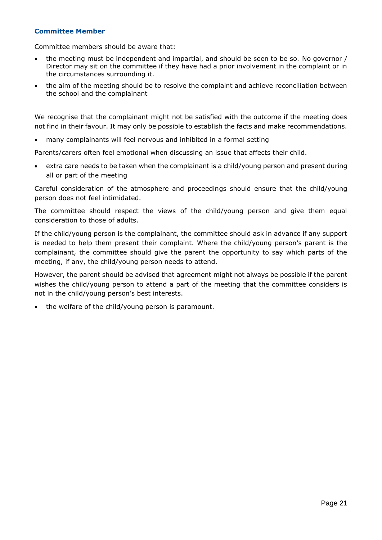#### **Committee Member**

Committee members should be aware that:

- the meeting must be independent and impartial, and should be seen to be so. No governor / Director may sit on the committee if they have had a prior involvement in the complaint or in the circumstances surrounding it.
- the aim of the meeting should be to resolve the complaint and achieve reconciliation between the school and the complainant

We recognise that the complainant might not be satisfied with the outcome if the meeting does not find in their favour. It may only be possible to establish the facts and make recommendations.

• many complainants will feel nervous and inhibited in a formal setting

Parents/carers often feel emotional when discussing an issue that affects their child.

• extra care needs to be taken when the complainant is a child/young person and present during all or part of the meeting

Careful consideration of the atmosphere and proceedings should ensure that the child/young person does not feel intimidated.

The committee should respect the views of the child/young person and give them equal consideration to those of adults.

If the child/young person is the complainant, the committee should ask in advance if any support is needed to help them present their complaint. Where the child/young person's parent is the complainant, the committee should give the parent the opportunity to say which parts of the meeting, if any, the child/young person needs to attend.

However, the parent should be advised that agreement might not always be possible if the parent wishes the child/young person to attend a part of the meeting that the committee considers is not in the child/young person's best interests.

• the welfare of the child/young person is paramount.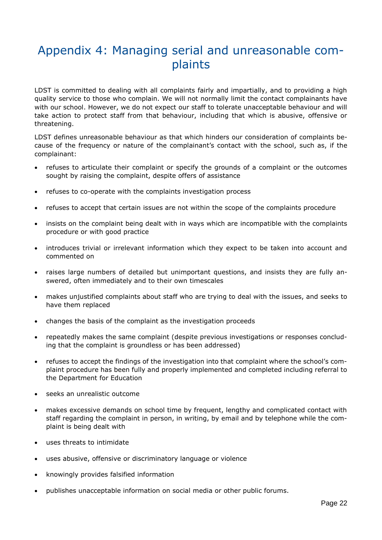### Appendix 4: Managing serial and unreasonable complaints

LDST is committed to dealing with all complaints fairly and impartially, and to providing a high quality service to those who complain. We will not normally limit the contact complainants have with our school. However, we do not expect our staff to tolerate unacceptable behaviour and will take action to protect staff from that behaviour, including that which is abusive, offensive or threatening.

LDST defines unreasonable behaviour as that which hinders our consideration of complaints because of the frequency or nature of the complainant's contact with the school, such as, if the complainant:

- refuses to articulate their complaint or specify the grounds of a complaint or the outcomes sought by raising the complaint, despite offers of assistance
- refuses to co-operate with the complaints investigation process
- refuses to accept that certain issues are not within the scope of the complaints procedure
- insists on the complaint being dealt with in ways which are incompatible with the complaints procedure or with good practice
- introduces trivial or irrelevant information which they expect to be taken into account and commented on
- raises large numbers of detailed but unimportant questions, and insists they are fully answered, often immediately and to their own timescales
- makes unjustified complaints about staff who are trying to deal with the issues, and seeks to have them replaced
- changes the basis of the complaint as the investigation proceeds
- repeatedly makes the same complaint (despite previous investigations or responses concluding that the complaint is groundless or has been addressed)
- refuses to accept the findings of the investigation into that complaint where the school's complaint procedure has been fully and properly implemented and completed including referral to the Department for Education
- seeks an unrealistic outcome
- makes excessive demands on school time by frequent, lengthy and complicated contact with staff regarding the complaint in person, in writing, by email and by telephone while the complaint is being dealt with
- uses threats to intimidate
- uses abusive, offensive or discriminatory language or violence
- knowingly provides falsified information
- publishes unacceptable information on social media or other public forums.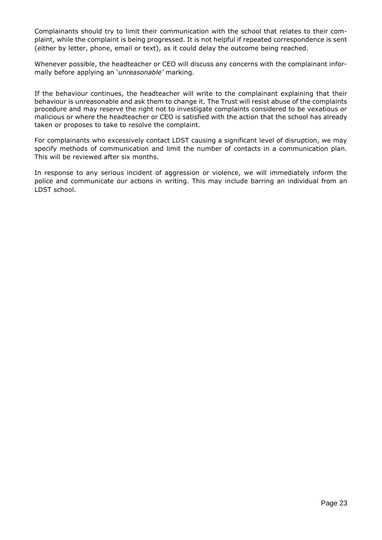Complainants should try to limit their communication with the school that relates to their complaint, while the complaint is being progressed. It is not helpful if repeated correspondence is sent (either by letter, phone, email or text), as it could delay the outcome being reached.

Whenever possible, the headteacher or CEO will discuss any concerns with the complainant informally before applying an '*unreasonable'* marking.

If the behaviour continues, the headteacher will write to the complainant explaining that their behaviour is unreasonable and ask them to change it. The Trust will resist abuse of the complaints procedure and may reserve the right not to investigate complaints considered to be vexatious or malicious or where the headteacher or CEO is satisfied with the action that the school has already taken or proposes to take to resolve the complaint.

For complainants who excessively contact LDST causing a significant level of disruption, we may specify methods of communication and limit the number of contacts in a communication plan. This will be reviewed after six months.

In response to any serious incident of aggression or violence, we will immediately inform the police and communicate our actions in writing. This may include barring an individual from an LDST school.